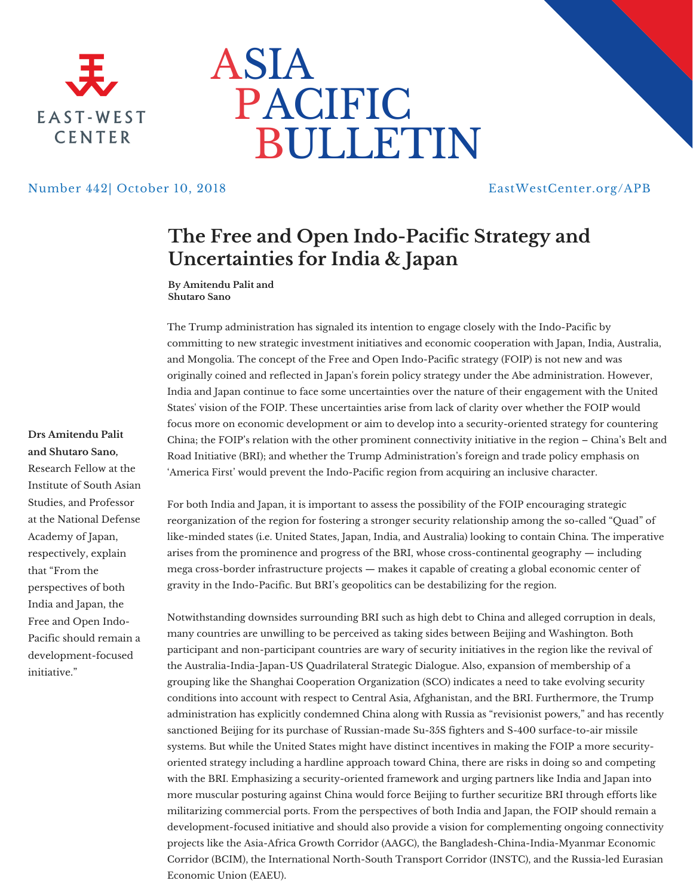



## Number 442| October 10, 2018 EastWestCenter.org/APB

## **The Free and Open Indo-Pacific Strategy and Uncertainties for India & Japan**

**By Amitendu Palit and Shutaro Sano**

The Trump administration has signaled its intention to engage closely with the Indo-Pacific by committing to new strategic investment initiatives and economic cooperation with Japan, India, Australia, and Mongolia. The concept of the Free and Open Indo-Pacific strategy (FOIP) is not new and was originally coined and reflected in Japan's forein policy strategy under the Abe administration. However, India and Japan continue to face some uncertainties over the nature of their engagement with the United States' vision of the FOIP. These uncertainties arise from lack of clarity over whether the FOIP would focus more on economic development or aim to develop into a security-oriented strategy for countering China; the FOIP's relation with the other prominent connectivity initiative in the region – China's Belt and Road Initiative (BRI); and whether the Trump Administration's foreign and trade policy emphasis on 'America First' would prevent the Indo-Pacific region from acquiring an inclusive character.

## **Drs Amitendu Palit and Shutaro Sano,** Research Fellow at the

Institute of South Asian Studies, and Professor at the National Defense Academy of Japan, respectively, explain that "From the perspectives of both India and Japan, the Free and Open Indo-Pacific should remain a development-focused initiative."

For both India and Japan, it is important to assess the possibility of the FOIP encouraging strategic reorganization of the region for fostering a stronger security relationship among the so-called "Quad" of like-minded states (i.e. United States, Japan, India, and Australia) looking to contain China. The imperative arises from the prominence and progress of the BRI, whose cross-continental geography — including mega cross-border infrastructure projects — makes it capable of creating a global economic center of gravity in the Indo-Pacific. But BRI's geopolitics can be destabilizing for the region.

Notwithstanding downsides surrounding BRI such as high debt to China and alleged corruption in deals, many countries are unwilling to be perceived as taking sides between Beijing and Washington. Both participant and non-participant countries are wary of security initiatives in the region like the revival of the Australia-India-Japan-US Quadrilateral Strategic Dialogue. Also, expansion of membership of a grouping like the Shanghai Cooperation Organization (SCO) indicates a need to take evolving security conditions into account with respect to Central Asia, Afghanistan, and the BRI. Furthermore, the Trump administration has explicitly condemned China along with Russia as "revisionist powers," and has recently sanctioned Beijing for its purchase of Russian-made Su-35S fighters and S-400 surface-to-air missile systems. But while the United States might have distinct incentives in making the FOIP a more securityoriented strategy including a hardline approach toward China, there are risks in doing so and competing with the BRI. Emphasizing a security-oriented framework and urging partners like India and Japan into more muscular posturing against China would force Beijing to further securitize BRI through efforts like militarizing commercial ports. From the perspectives of both India and Japan, the FOIP should remain a development-focused initiative and should also provide a vision for complementing ongoing connectivity projects like the Asia-Africa Growth Corridor (AAGC), the Bangladesh-China-India-Myanmar Economic Corridor (BCIM), the International North-South Transport Corridor (INSTC), and the Russia-led Eurasian Economic Union (EAEU).